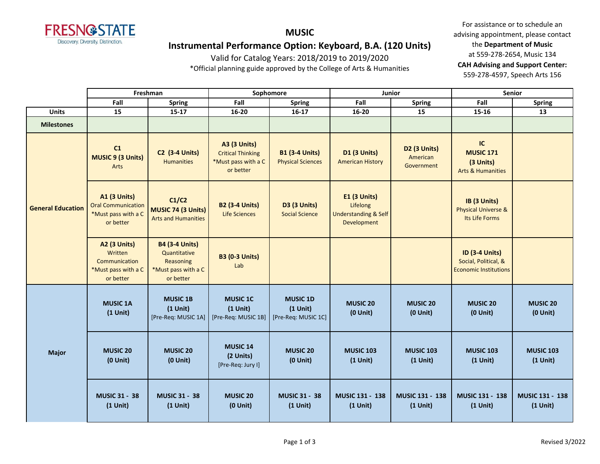

**MUSIC Instrumental Performance Option: Keyboard, B.A. (120 Units)**

Valid for Catalog Years: 2018/2019 to 2019/2020

\*Official planning guide approved by the College of Arts & Humanities

|                          |                                                                                      | Freshman                                                                               |                                                                                     | Sophomore                                            | Junior                                                                            |                                        | <b>Senior</b>                                                                 |                                  |  |
|--------------------------|--------------------------------------------------------------------------------------|----------------------------------------------------------------------------------------|-------------------------------------------------------------------------------------|------------------------------------------------------|-----------------------------------------------------------------------------------|----------------------------------------|-------------------------------------------------------------------------------|----------------------------------|--|
|                          | Fall                                                                                 | <b>Spring</b>                                                                          | Fall                                                                                | <b>Spring</b>                                        | Fall                                                                              | <b>Spring</b>                          | Fall                                                                          | <b>Spring</b>                    |  |
| <b>Units</b>             | 15                                                                                   | $15 - 17$                                                                              | 16-20                                                                               | $16-17$                                              | 16-20                                                                             | 15                                     | 15-16                                                                         | 13                               |  |
| <b>Milestones</b>        |                                                                                      |                                                                                        |                                                                                     |                                                      |                                                                                   |                                        |                                                                               |                                  |  |
|                          | C1<br>MUSIC 9 (3 Units)<br>Arts                                                      | <b>C2 (3-4 Units)</b><br>Humanities                                                    | <b>A3 (3 Units)</b><br><b>Critical Thinking</b><br>*Must pass with a C<br>or better | <b>B1 (3-4 Units)</b><br><b>Physical Sciences</b>    | <b>D1 (3 Units)</b><br><b>American History</b>                                    | D2 (3 Units)<br>American<br>Government | IC<br><b>MUSIC 171</b><br>(3 Units)<br><b>Arts &amp; Humanities</b>           |                                  |  |
| <b>General Education</b> | <b>A1 (3 Units)</b><br><b>Oral Communication</b><br>*Must pass with a C<br>or better | C1/C2<br>MUSIC 74 (3 Units)<br><b>Arts and Humanities</b>                              | <b>B2 (3-4 Units)</b><br><b>Life Sciences</b>                                       | D3 (3 Units)<br><b>Social Science</b>                | <b>E1 (3 Units)</b><br>Lifelong<br><b>Understanding &amp; Self</b><br>Development |                                        | IB (3 Units)<br><b>Physical Universe &amp;</b><br>Its Life Forms              |                                  |  |
|                          | <b>A2 (3 Units)</b><br>Written<br>Communication<br>*Must pass with a C<br>or better  | <b>B4 (3-4 Units)</b><br>Quantitative<br>Reasoning<br>*Must pass with a C<br>or better | <b>B3 (0-3 Units)</b><br>Lab                                                        |                                                      |                                                                                   |                                        | <b>ID (3-4 Units)</b><br>Social, Political, &<br><b>Economic Institutions</b> |                                  |  |
|                          | <b>MUSIC 1A</b><br>$(1$ Unit)                                                        | <b>MUSIC 1B</b><br>$(1$ Unit)<br>[Pre-Req: MUSIC 1A]                                   | <b>MUSIC 1C</b><br>$(1$ Unit)<br>[Pre-Req: MUSIC 1B]                                | <b>MUSIC 1D</b><br>$(1$ Unit)<br>[Pre-Req: MUSIC 1C] | <b>MUSIC 20</b><br>$(0$ Unit $)$                                                  | <b>MUSIC 20</b><br>$(0$ Unit)          | <b>MUSIC 20</b><br>$(0$ Unit $)$                                              | <b>MUSIC 20</b><br>$(0$ Unit $)$ |  |
| <b>Major</b>             | <b>MUSIC 20</b><br>$(0$ Unit $)$                                                     | <b>MUSIC 20</b><br>$(0$ Unit $)$                                                       | <b>MUSIC 14</b><br>(2 Units)<br>[Pre-Req: Jury I]                                   | <b>MUSIC 20</b><br>$(0$ Unit $)$                     | <b>MUSIC 103</b><br>$(1$ Unit)                                                    | <b>MUSIC 103</b><br>$(1$ Unit)         | <b>MUSIC 103</b><br>$(1$ Unit)                                                | <b>MUSIC 103</b><br>$(1$ Unit)   |  |
|                          | <b>MUSIC 31 - 38</b><br>$(1$ Unit)                                                   | <b>MUSIC 31 - 38</b><br>$(1$ Unit)                                                     | <b>MUSIC 20</b><br>$(0$ Unit $)$                                                    | <b>MUSIC 31 - 38</b><br>$(1$ Unit)                   | MUSIC 131 - 138<br>$(1$ Unit)                                                     | MUSIC 131 - 138<br>$(1$ Unit)          | MUSIC 131 - 138<br>$(1$ Unit)                                                 | MUSIC 131 - 138<br>$(1$ Unit)    |  |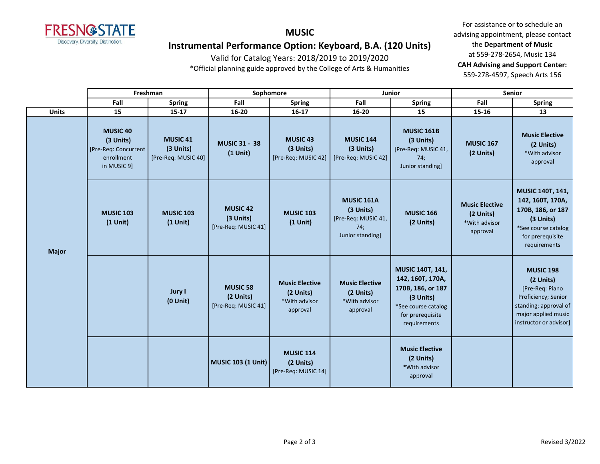

### **MUSIC Instrumental Performance Option: Keyboard, B.A. (120 Units)**

Valid for Catalog Years: 2018/2019 to 2019/2020

\*Official planning guide approved by the College of Arts & Humanities

|              | Freshman                                                                           |                                                     |                                                     | Sophomore                                                       | Junior                                                                           |                                                                                                                                          | <b>Senior</b>                                                   |                                                                                                                                                   |
|--------------|------------------------------------------------------------------------------------|-----------------------------------------------------|-----------------------------------------------------|-----------------------------------------------------------------|----------------------------------------------------------------------------------|------------------------------------------------------------------------------------------------------------------------------------------|-----------------------------------------------------------------|---------------------------------------------------------------------------------------------------------------------------------------------------|
|              | Fall                                                                               | Spring                                              | Fall                                                | <b>Spring</b>                                                   | Fall                                                                             | <b>Spring</b>                                                                                                                            | Fall                                                            | <b>Spring</b>                                                                                                                                     |
| <b>Units</b> | 15                                                                                 | $15 - 17$                                           | 16-20                                               | $16 - 17$                                                       | 16-20                                                                            | 15                                                                                                                                       | 15-16                                                           | 13                                                                                                                                                |
|              | <b>MUSIC 40</b><br>(3 Units)<br>[Pre-Req: Concurrent]<br>enrollment<br>in MUSIC 9] | <b>MUSIC 41</b><br>(3 Units)<br>[Pre-Req: MUSIC 40] | <b>MUSIC 31 - 38</b><br>$(1$ Unit)                  | <b>MUSIC 43</b><br>(3 Units)<br>[Pre-Req: MUSIC 42]             | <b>MUSIC 144</b><br>(3 Units)<br>[Pre-Req: MUSIC 42]                             | <b>MUSIC 161B</b><br>(3 Units)<br>[Pre-Req: MUSIC 41,<br>74:<br>Junior standing]                                                         | <b>MUSIC 167</b><br>(2 Units)                                   | <b>Music Elective</b><br>(2 Units)<br>*With advisor<br>approval                                                                                   |
| <b>Major</b> | <b>MUSIC 103</b><br>$(1$ Unit)                                                     | <b>MUSIC 103</b><br>$(1$ Unit)                      | <b>MUSIC 42</b><br>(3 Units)<br>[Pre-Req: MUSIC 41] | <b>MUSIC 103</b><br>$(1$ Unit)                                  | <b>MUSIC 161A</b><br>(3 Units)<br>[Pre-Req: MUSIC 41,<br>74;<br>Junior standing] | <b>MUSIC 166</b><br>(2 Units)                                                                                                            | <b>Music Elective</b><br>(2 Units)<br>*With advisor<br>approval | MUSIC 140T, 141,<br>142, 160T, 170A,<br>170B, 186, or 187<br>(3 Units)<br>*See course catalog<br>for prerequisite<br>requirements                 |
|              |                                                                                    | Jury I<br>$(0$ Unit)                                | <b>MUSIC 58</b><br>(2 Units)<br>[Pre-Req: MUSIC 41] | <b>Music Elective</b><br>(2 Units)<br>*With advisor<br>approval | <b>Music Elective</b><br>(2 Units)<br>*With advisor<br>approval                  | <b>MUSIC 140T, 141,</b><br>142, 160T, 170A,<br>170B, 186, or 187<br>(3 Units)<br>*See course catalog<br>for prerequisite<br>requirements |                                                                 | <b>MUSIC 198</b><br>(2 Units)<br>[Pre-Req: Piano<br>Proficiency; Senior<br>standing; approval of<br>major applied music<br>instructor or advisor] |
|              |                                                                                    |                                                     | <b>MUSIC 103 (1 Unit)</b>                           | <b>MUSIC 114</b><br>(2 Units)<br>[Pre-Req: MUSIC 14]            |                                                                                  | <b>Music Elective</b><br>(2 Units)<br>*With advisor<br>approval                                                                          |                                                                 |                                                                                                                                                   |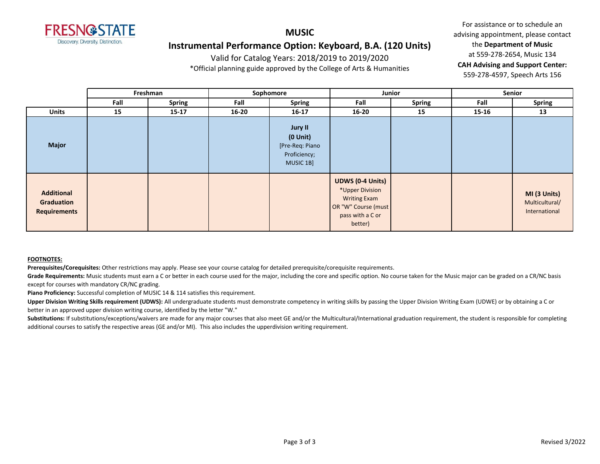

# **Instrumental Performance Option: Keyboard, B.A. (120 Units)**

Valid for Catalog Years: 2018/2019 to 2019/2020

**MUSIC**

\*Official planning guide approved by the College of Arts & Humanities

For assistance or to schedule an advising appointment, please contact the **Department of Music** at 559-278-2654, Music 134 **CAH Advising and Support Center:**  559-278-4597, Speech Arts 156

|                                                        |      | Freshman      |           | Sophomore                                                                | Junior                                                                                                                  |               |           | Senior                                          |
|--------------------------------------------------------|------|---------------|-----------|--------------------------------------------------------------------------|-------------------------------------------------------------------------------------------------------------------------|---------------|-----------|-------------------------------------------------|
|                                                        | Fall | <b>Spring</b> | Fall      | <b>Spring</b>                                                            | Fall                                                                                                                    | <b>Spring</b> | Fall      | <b>Spring</b>                                   |
| <b>Units</b>                                           | 15   | $15 - 17$     | $16 - 20$ | $16 - 17$                                                                | $16 - 20$                                                                                                               | 15            | $15 - 16$ | 13                                              |
| <b>Major</b>                                           |      |               |           | Jury II<br>$(0$ Unit $)$<br>[Pre-Req: Piano<br>Proficiency;<br>MUSIC 1B] |                                                                                                                         |               |           |                                                 |
| <b>Additional</b><br>Graduation<br><b>Requirements</b> |      |               |           |                                                                          | <b>UDWS (0-4 Units)</b><br>*Upper Division<br><b>Writing Exam</b><br>OR "W" Course (must<br>pass with a C or<br>better) |               |           | MI (3 Units)<br>Multicultural/<br>International |

#### **FOOTNOTES:**

**Prerequisites/Corequisites:** Other restrictions may apply. Please see your course catalog for detailed prerequisite/corequisite requirements.

Grade Requirements: Music students must earn a C or better in each course used for the major, including the core and specific option. No course taken for the Music major can be graded on a CR/NC basis except for courses with mandatory CR/NC grading.

**Piano Proficiency:** Successful completion of MUSIC 14 & 114 satisfies this requirement.

Upper Division Writing Skills requirement (UDWS): All undergraduate students must demonstrate competency in writing skills by passing the Upper Division Writing Exam (UDWE) or by obtaining a C or better in an approved upper division writing course, identified by the letter "W."

Substitutions: If substitutions/exceptions/waivers are made for any major courses that also meet GE and/or the Multicultural/International graduation requirement, the student is responsible for completing additional courses to satisfy the respective areas (GE and/or MI). This also includes the upperdivision writing requirement.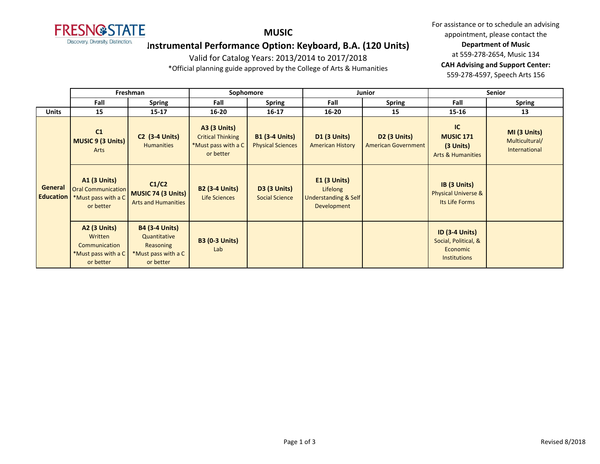

**MUSIC**

## **Instrumental Performance Option: Keyboard, B.A. (120 Units)**

Valid for Catalog Years: 2013/2014 to 2017/2018

\*Official planning guide approved by the College of Arts & Humanities

|                                    | Freshman                                                                             |                                                                                        | Sophomore                                                                           |                                                   |                                                                              | <b>Junior</b>                                     | <b>Senior</b>                                                                    |                                                 |
|------------------------------------|--------------------------------------------------------------------------------------|----------------------------------------------------------------------------------------|-------------------------------------------------------------------------------------|---------------------------------------------------|------------------------------------------------------------------------------|---------------------------------------------------|----------------------------------------------------------------------------------|-------------------------------------------------|
|                                    | Fall                                                                                 | <b>Spring</b>                                                                          | Fall                                                                                | <b>Spring</b>                                     | Fall                                                                         | <b>Spring</b>                                     | Fall                                                                             | <b>Spring</b>                                   |
| <b>Units</b>                       | 15                                                                                   | $15 - 17$                                                                              | $16 - 20$                                                                           | $16 - 17$                                         | $16 - 20$                                                                    | 15                                                | $15 - 16$                                                                        | 13                                              |
|                                    | C1<br>MUSIC 9 (3 Units)<br>Arts                                                      | <b>C2 (3-4 Units)</b><br><b>Humanities</b>                                             | <b>A3 (3 Units)</b><br><b>Critical Thinking</b><br>*Must pass with a C<br>or better | <b>B1 (3-4 Units)</b><br><b>Physical Sciences</b> | <b>D1 (3 Units)</b><br><b>American History</b>                               | <b>D2 (3 Units)</b><br><b>American Government</b> | IC<br><b>MUSIC 171</b><br>$(3$ Units)<br><b>Arts &amp; Humanities</b>            | MI (3 Units)<br>Multicultural/<br>International |
| <b>General</b><br><b>Education</b> | <b>A1 (3 Units)</b><br><b>Oral Communication</b><br>*Must pass with a C<br>or better | C1/C2<br><b>MUSIC 74 (3 Units)</b><br><b>Arts and Humanities</b>                       | <b>B2 (3-4 Units)</b><br>Life Sciences                                              | <b>D3 (3 Units)</b><br><b>Social Science</b>      | $E1$ (3 Units)<br>Lifelong<br><b>Understanding &amp; Self</b><br>Development |                                                   | IB (3 Units)<br><b>Physical Universe &amp;</b><br>Its Life Forms                 |                                                 |
|                                    | <b>A2 (3 Units)</b><br>Written<br>Communication<br>*Must pass with a C<br>or better  | <b>B4 (3-4 Units)</b><br>Quantitative<br>Reasoning<br>*Must pass with a C<br>or better | <b>B3 (0-3 Units)</b><br>Lab                                                        |                                                   |                                                                              |                                                   | <b>ID (3-4 Units)</b><br>Social, Political, &<br>Economic<br><b>Institutions</b> |                                                 |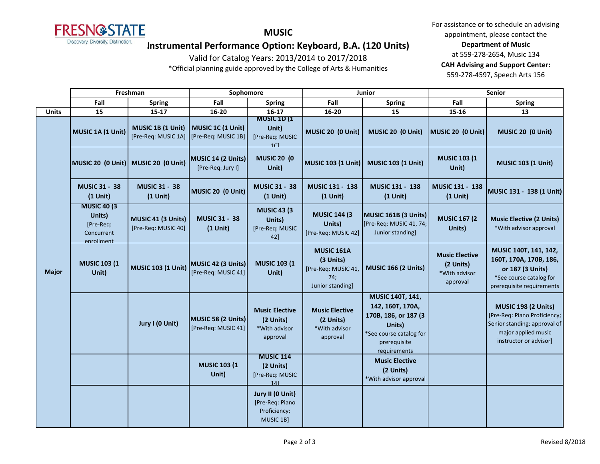

**MUSIC**

## **Instrumental Performance Option: Keyboard, B.A. (120 Units)**

Valid for Catalog Years: 2013/2014 to 2017/2018

\*Official planning guide approved by the College of Arts & Humanities

|              | Freshman                                                               |                                           | Sophomore                                 |                                                                  | Junior                                                                           |                                                                                                                                   | <b>Senior</b>                                                   |                                                                                                                                            |
|--------------|------------------------------------------------------------------------|-------------------------------------------|-------------------------------------------|------------------------------------------------------------------|----------------------------------------------------------------------------------|-----------------------------------------------------------------------------------------------------------------------------------|-----------------------------------------------------------------|--------------------------------------------------------------------------------------------------------------------------------------------|
|              | Fall                                                                   | <b>Spring</b>                             | Fall                                      | <b>Spring</b>                                                    | Fall                                                                             | <b>Spring</b>                                                                                                                     | Fall                                                            | <b>Spring</b>                                                                                                                              |
| <b>Units</b> | 15                                                                     | $15 - 17$                                 | 16-20                                     | $16 - 17$                                                        | 16-20                                                                            | 15                                                                                                                                | $15 - 16$                                                       | 13                                                                                                                                         |
|              | MUSIC 1A (1 Unit)                                                      | MUSIC 1B (1 Unit)<br>[Pre-Req: MUSIC 1A]  | MUSIC 1C (1 Unit)<br>[Pre-Req: MUSIC 1B]  | <b>MUSIC 1D (1</b><br>Unit)<br>[Pre-Req: MUSIC<br>1 <sup>C</sup> | MUSIC 20 (0 Unit)                                                                | MUSIC 20 (0 Unit)                                                                                                                 | MUSIC 20 (0 Unit)                                               | MUSIC 20 (0 Unit)                                                                                                                          |
|              |                                                                        | MUSIC 20 (0 Unit) MUSIC 20 (0 Unit)       | MUSIC 14 (2 Units)<br>[Pre-Req: Jury I]   | <b>MUSIC 20 (0</b><br>Unit)                                      | <b>MUSIC 103 (1 Unit)</b>                                                        | <b>MUSIC 103 (1 Unit)</b>                                                                                                         | <b>MUSIC 103 (1)</b><br>Unit)                                   | <b>MUSIC 103 (1 Unit)</b>                                                                                                                  |
|              | <b>MUSIC 31 - 38</b><br>$(1$ Unit)                                     | <b>MUSIC 31 - 38</b><br>$(1$ Unit)        | MUSIC 20 (0 Unit)                         | <b>MUSIC 31 - 38</b><br>$(1$ Unit)                               | MUSIC 131 - 138<br>$(1$ Unit)                                                    | MUSIC 131 - 138<br>$(1$ Unit)                                                                                                     | MUSIC 131 - 138<br>$(1$ Unit)                                   | MUSIC 131 - 138 (1 Unit)                                                                                                                   |
|              | <b>MUSIC 40 (3)</b><br>Units)<br>[Pre-Req:<br>Concurrent<br>enrollment | MUSIC 41 (3 Units)<br>[Pre-Req: MUSIC 40] | <b>MUSIC 31 - 38</b><br>$(1$ Unit)        | <b>MUSIC 43 (3)</b><br>Units)<br>[Pre-Req: MUSIC<br>42]          | <b>MUSIC 144 (3)</b><br>Units)<br>[Pre-Req: MUSIC 42]                            | MUSIC 161B (3 Units)<br>[Pre-Req: MUSIC 41, 74;<br>Junior standing]                                                               | <b>MUSIC 167 (2</b><br>Units)                                   | <b>Music Elective (2 Units)</b><br>*With advisor approval                                                                                  |
| <b>Major</b> | <b>MUSIC 103 (1</b><br>Unit)                                           | <b>MUSIC 103 (1 Unit)</b>                 | MUSIC 42 (3 Units)<br>[Pre-Req: MUSIC 41] | <b>MUSIC 103 (1)</b><br>Unit)                                    | <b>MUSIC 161A</b><br>(3 Units)<br>[Pre-Req: MUSIC 41,<br>74;<br>Junior standing] | <b>MUSIC 166 (2 Units)</b>                                                                                                        | <b>Music Elective</b><br>(2 Units)<br>*With advisor<br>approval | MUSIC 140T, 141, 142,<br>160T, 170A, 170B, 186,<br>or 187 (3 Units)<br>*See course catalog for<br>prerequisite requirements                |
|              |                                                                        | Jury I (0 Unit)                           | MUSIC 58 (2 Units)<br>[Pre-Req: MUSIC 41] | <b>Music Elective</b><br>(2 Units)<br>*With advisor<br>approval  | <b>Music Elective</b><br>(2 Units)<br>*With advisor<br>approval                  | MUSIC 140T, 141,<br>142, 160T, 170A,<br>170B, 186, or 187 (3<br>Units)<br>*See course catalog for<br>prerequisite<br>requirements |                                                                 | <b>MUSIC 198 (2 Units)</b><br>[Pre-Req: Piano Proficiency;<br>Senior standing; approval of<br>major applied music<br>instructor or advisor |
|              |                                                                        |                                           | <b>MUSIC 103 (1</b><br>Unit)              | <b>MUSIC 114</b><br>(2 Units)<br>[Pre-Req: MUSIC<br>141          |                                                                                  | <b>Music Elective</b><br>(2 Units)<br>*With advisor approval                                                                      |                                                                 |                                                                                                                                            |
|              |                                                                        |                                           |                                           | Jury II (0 Unit)<br>[Pre-Req: Piano<br>Proficiency;<br>MUSIC 1B] |                                                                                  |                                                                                                                                   |                                                                 |                                                                                                                                            |